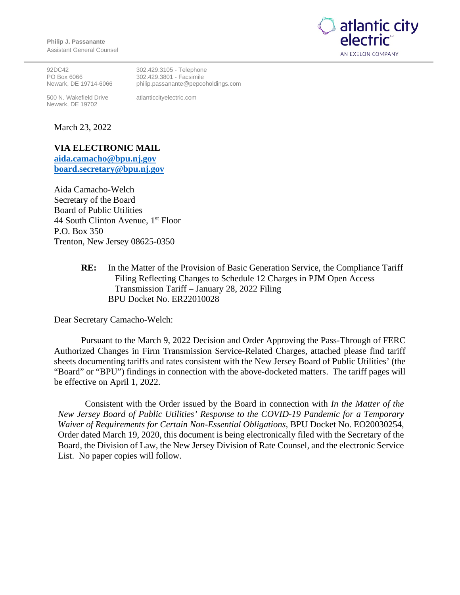**Philip J. Passanante** Assistant General Counsel



92DC42 PO Box 6066 Newark, DE 19714-6066

500 N. Wakefield Drive Newark, DE 19702

302.429.3105 - Telephone 302.429.3801 - Facsimile philip.passanante@pepcoholdings.com

atlanticcityelectric.com

March 23, 2022

## **VIA ELECTRONIC MAIL**

**aida.camacho@bpu.nj.gov board.secretary@bpu.nj.gov**

Aida Camacho-Welch Secretary of the Board Board of Public Utilities 44 South Clinton Avenue,  $1<sup>st</sup>$  Floor P.O. Box 350 Trenton, New Jersey 08625-0350

> **RE:** In the Matter of the Provision of Basic Generation Service, the Compliance Tariff Filing Reflecting Changes to Schedule 12 Charges in PJM Open Access Transmission Tariff – January 28, 2022 Filing BPU Docket No. ER22010028

Dear Secretary Camacho-Welch:

Pursuant to the March 9, 2022 Decision and Order Approving the Pass-Through of FERC Authorized Changes in Firm Transmission Service-Related Charges, attached please find tariff sheets documenting tariffs and rates consistent with the New Jersey Board of Public Utilities' (the "Board" or "BPU") findings in connection with the above-docketed matters. The tariff pages will be effective on April 1, 2022.

Consistent with the Order issued by the Board in connection with *In the Matter of the New Jersey Board of Public Utilities' Response to the COVID-19 Pandemic for a Temporary Waiver of Requirements for Certain Non-Essential Obligations,* BPU Docket No. EO20030254, Order dated March 19, 2020, this document is being electronically filed with the Secretary of the Board, the Division of Law, the New Jersey Division of Rate Counsel, and the electronic Service List. No paper copies will follow.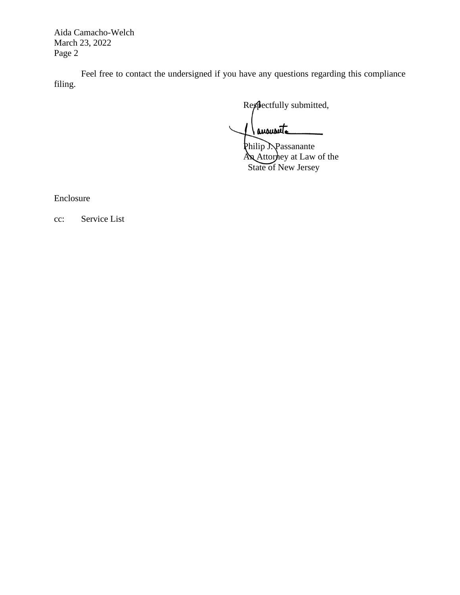Aida Camacho-Welch March 23, 2022 Page 2

Feel free to contact the undersigned if you have any questions regarding this compliance filing.

Respectfully submitted,

Janousute

Philip J. Passanante An Attorney at Law of the State of New Jersey

Enclosure

cc: Service List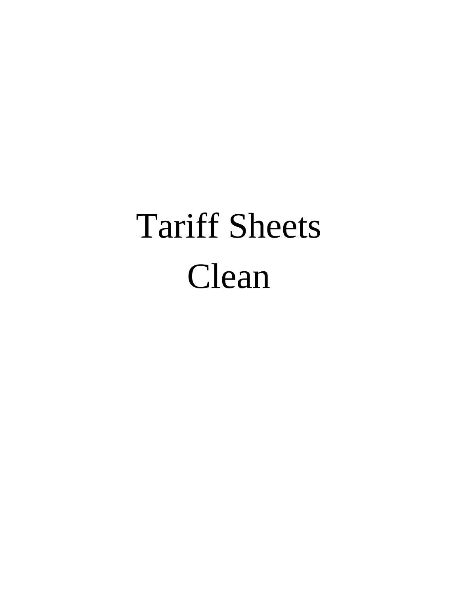# Tariff Sheets Clean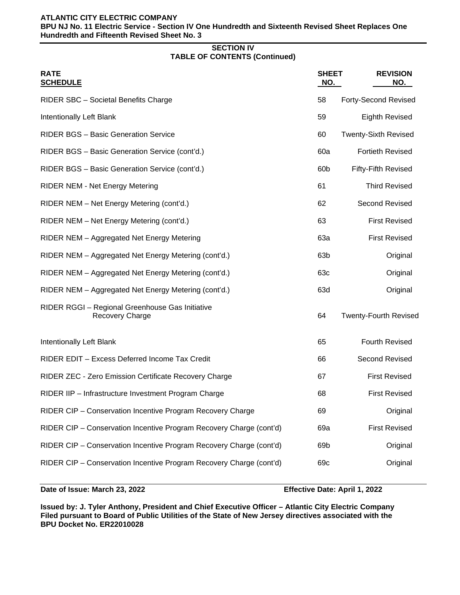### **ATLANTIC CITY ELECTRIC COMPANY**

**BPU NJ No. 11 Electric Service - Section IV One Hundredth and Sixteenth Revised Sheet Replaces One Hundredth and Fifteenth Revised Sheet No. 3**

#### **SECTION IV TABLE OF CONTENTS (Continued)**

| <b>RATE</b><br><b>SCHEDULE</b>                                            | <b>SHEET</b><br><u>NO.</u> | <b>REVISION</b><br>NO.       |
|---------------------------------------------------------------------------|----------------------------|------------------------------|
| RIDER SBC - Societal Benefits Charge                                      | 58                         | <b>Forty-Second Revised</b>  |
| Intentionally Left Blank                                                  | 59                         | <b>Eighth Revised</b>        |
| <b>RIDER BGS - Basic Generation Service</b>                               | 60                         | <b>Twenty-Sixth Revised</b>  |
| RIDER BGS - Basic Generation Service (cont'd.)                            | 60a                        | <b>Fortieth Revised</b>      |
| RIDER BGS - Basic Generation Service (cont'd.)                            | 60 <sub>b</sub>            | <b>Fifty-Fifth Revised</b>   |
| <b>RIDER NEM - Net Energy Metering</b>                                    | 61                         | <b>Third Revised</b>         |
| RIDER NEM - Net Energy Metering (cont'd.)                                 | 62                         | <b>Second Revised</b>        |
| RIDER NEM - Net Energy Metering (cont'd.)                                 | 63                         | <b>First Revised</b>         |
| RIDER NEM - Aggregated Net Energy Metering                                | 63a                        | <b>First Revised</b>         |
| RIDER NEM - Aggregated Net Energy Metering (cont'd.)                      | 63 <sub>b</sub>            | Original                     |
| RIDER NEM - Aggregated Net Energy Metering (cont'd.)                      | 63c                        | Original                     |
| RIDER NEM - Aggregated Net Energy Metering (cont'd.)                      | 63d                        | Original                     |
| RIDER RGGI - Regional Greenhouse Gas Initiative<br><b>Recovery Charge</b> | 64                         | <b>Twenty-Fourth Revised</b> |
| <b>Intentionally Left Blank</b>                                           | 65                         | <b>Fourth Revised</b>        |
| RIDER EDIT - Excess Deferred Income Tax Credit                            | 66                         | Second Revised               |
| RIDER ZEC - Zero Emission Certificate Recovery Charge                     | 67                         | <b>First Revised</b>         |
| RIDER IIP - Infrastructure Investment Program Charge                      | 68                         | <b>First Revised</b>         |
| RIDER CIP - Conservation Incentive Program Recovery Charge                | 69                         | Original                     |
| RIDER CIP - Conservation Incentive Program Recovery Charge (cont'd)       | 69a                        | <b>First Revised</b>         |
| RIDER CIP - Conservation Incentive Program Recovery Charge (cont'd)       | 69b                        | Original                     |
| RIDER CIP - Conservation Incentive Program Recovery Charge (cont'd)       | 69c                        | Original                     |
|                                                                           |                            |                              |

**Date of Issue: March 23, 2022 Effective Date: April 1, 2022**

**Issued by: J. Tyler Anthony, President and Chief Executive Officer – Atlantic City Electric Company Filed pursuant to Board of Public Utilities of the State of New Jersey directives associated with the BPU Docket No. ER22010028**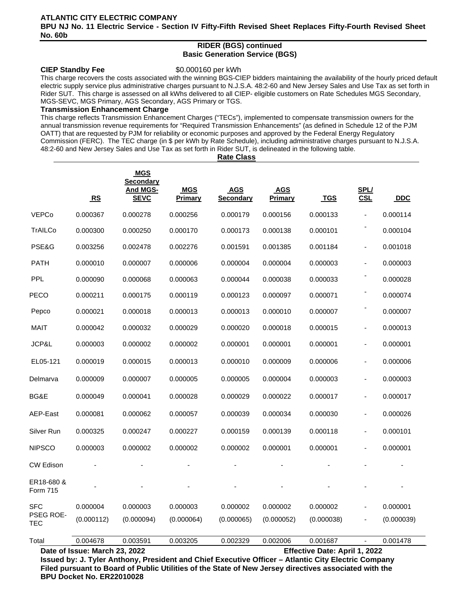### **ATLANTIC CITY ELECTRIC COMPANY BPU NJ No. 11 Electric Service - Section IV Fifty-Fifth Revised Sheet Replaces Fifty-Fourth Revised Sheet No. 60b**

#### **RIDER (BGS) continued Basic Generation Service (BGS)**

#### **CIEP Standby Fee** \$0.000160 per kWh

This charge recovers the costs associated with the winning BGS-CIEP bidders maintaining the availability of the hourly priced default electric supply service plus administrative charges pursuant to N.J.S.A. 48:2-60 and New Jersey Sales and Use Tax as set forth in Rider SUT. This charge is assessed on all kWhs delivered to all CIEP- eligible customers on Rate Schedules MGS Secondary, MGS-SEVC, MGS Primary, AGS Secondary, AGS Primary or TGS.

#### **Transmission Enhancement Charge**

This charge reflects Transmission Enhancement Charges ("TECs"), implemented to compensate transmission owners for the annual transmission revenue requirements for "Required Transmission Enhancements" (as defined in Schedule 12 of the PJM OATT) that are requested by PJM for reliability or economic purposes and approved by the Federal Energy Regulatory Commission (FERC). The TEC charge (in \$ per kWh by Rate Schedule), including administrative charges pursuant to N.J.S.A. 48:2-60 and New Jersey Sales and Use Tax as set forth in Rider SUT, is delineated in the following table.

**Rate Class**

|                        | RS         | <b>MGS</b><br><b>Secondary</b><br><b>And MGS-</b><br><b>SEVC</b> | <b>MGS</b><br><b>Primary</b> | <b>AGS</b><br><b>Secondary</b> | <b>AGS</b><br><b>Primary</b> | <u>TGS</u> | SPL/<br><b>CSL</b> | <b>DDC</b> |
|------------------------|------------|------------------------------------------------------------------|------------------------------|--------------------------------|------------------------------|------------|--------------------|------------|
| <b>VEPCo</b>           | 0.000367   | 0.000278                                                         | 0.000256                     | 0.000179                       | 0.000156                     | 0.000133   |                    | 0.000114   |
| TrAILCo                | 0.000300   | 0.000250                                                         | 0.000170                     | 0.000173                       | 0.000138                     | 0.000101   |                    | 0.000104   |
| PSE&G                  | 0.003256   | 0.002478                                                         | 0.002276                     | 0.001591                       | 0.001385                     | 0.001184   |                    | 0.001018   |
| <b>PATH</b>            | 0.000010   | 0.000007                                                         | 0.000006                     | 0.000004                       | 0.000004                     | 0.000003   |                    | 0.000003   |
| <b>PPL</b>             | 0.000090   | 0.000068                                                         | 0.000063                     | 0.000044                       | 0.000038                     | 0.000033   |                    | 0.000028   |
| PECO                   | 0.000211   | 0.000175                                                         | 0.000119                     | 0.000123                       | 0.000097                     | 0.000071   |                    | 0.000074   |
| Pepco                  | 0.000021   | 0.000018                                                         | 0.000013                     | 0.000013                       | 0.000010                     | 0.000007   |                    | 0.000007   |
| <b>MAIT</b>            | 0.000042   | 0.000032                                                         | 0.000029                     | 0.000020                       | 0.000018                     | 0.000015   |                    | 0.000013   |
| JCP&L                  | 0.000003   | 0.000002                                                         | 0.000002                     | 0.000001                       | 0.000001                     | 0.000001   |                    | 0.000001   |
| EL05-121               | 0.000019   | 0.000015                                                         | 0.000013                     | 0.000010                       | 0.000009                     | 0.000006   |                    | 0.000006   |
| Delmarva               | 0.000009   | 0.000007                                                         | 0.000005                     | 0.000005                       | 0.000004                     | 0.000003   |                    | 0.000003   |
| BG&E                   | 0.000049   | 0.000041                                                         | 0.000028                     | 0.000029                       | 0.000022                     | 0.000017   |                    | 0.000017   |
| AEP-East               | 0.000081   | 0.000062                                                         | 0.000057                     | 0.000039                       | 0.000034                     | 0.000030   |                    | 0.000026   |
| Silver Run             | 0.000325   | 0.000247                                                         | 0.000227                     | 0.000159                       | 0.000139                     | 0.000118   | $\blacksquare$     | 0.000101   |
| <b>NIPSCO</b>          | 0.000003   | 0.000002                                                         | 0.000002                     | 0.000002                       | 0.000001                     | 0.000001   |                    | 0.000001   |
| <b>CW Edison</b>       |            |                                                                  |                              |                                |                              |            |                    |            |
| ER18-680 &<br>Form 715 |            |                                                                  |                              |                                |                              |            |                    |            |
| SFC                    | 0.000004   | 0.000003                                                         | 0.000003                     | 0.000002                       | 0.000002                     | 0.000002   |                    | 0.000001   |
| PSEG ROE-<br>TEC       | (0.000112) | (0.000094)                                                       | (0.000064)                   | (0.000065)                     | (0.000052)                   | (0.000038) |                    | (0.000039) |
| Total                  | 0.004678   | 0.003591                                                         | 0.003205                     | 0.002329                       | 0.002006                     | 0.001687   |                    | 0.001478   |

**Date of Issue: March 23, 2022 Effective Date: April 1, 2022**

**Issued by: J. Tyler Anthony, President and Chief Executive Officer – Atlantic City Electric Company Filed pursuant to Board of Public Utilities of the State of New Jersey directives associated with the BPU Docket No. ER22010028**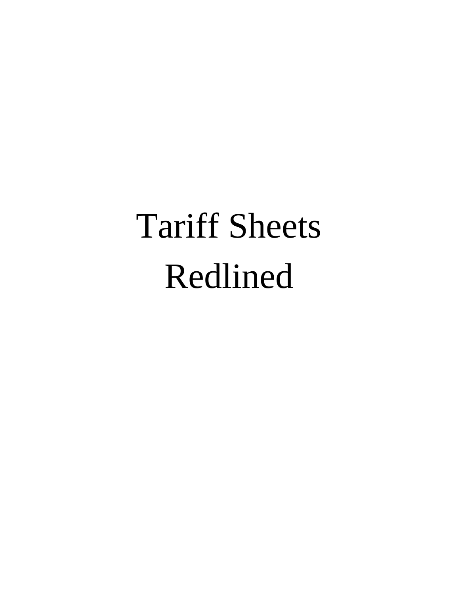# Tariff Sheets Redlined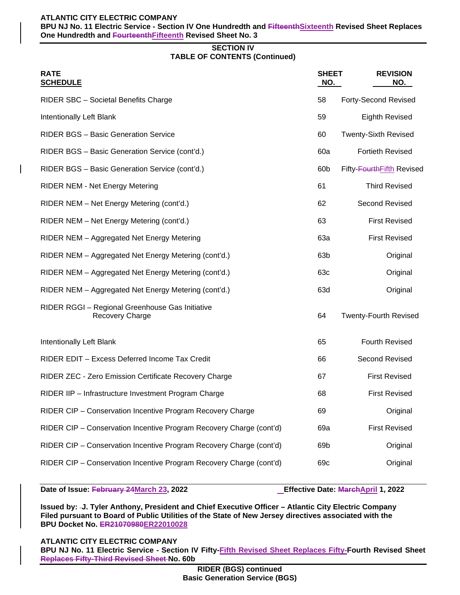#### **ATLANTIC CITY ELECTRIC COMPANY**

**BPU NJ No. 11 Electric Service - Section IV One Hundredth and FifteenthSixteenth Revised Sheet Replaces One Hundredth and FourteenthFifteenth Revised Sheet No. 3**

#### **SECTION IV TABLE OF CONTENTS (Continued)**

| <b>RATE</b><br><b>SCHEDULE</b>                                      | <b>SHEET</b><br>NO. | <b>REVISION</b><br>NO.       |
|---------------------------------------------------------------------|---------------------|------------------------------|
| RIDER SBC - Societal Benefits Charge                                | 58                  | <b>Forty-Second Revised</b>  |
| Intentionally Left Blank                                            | 59                  | <b>Eighth Revised</b>        |
| RIDER BGS - Basic Generation Service                                | 60                  | <b>Twenty-Sixth Revised</b>  |
| RIDER BGS - Basic Generation Service (cont'd.)                      | 60a                 | <b>Fortieth Revised</b>      |
| RIDER BGS - Basic Generation Service (cont'd.)                      | 60b                 | Fifty-FourthFifth Revised    |
| <b>RIDER NEM - Net Energy Metering</b>                              | 61                  | <b>Third Revised</b>         |
| RIDER NEM - Net Energy Metering (cont'd.)                           | 62                  | Second Revised               |
| RIDER NEM - Net Energy Metering (cont'd.)                           | 63                  | <b>First Revised</b>         |
| RIDER NEM - Aggregated Net Energy Metering                          | 63a                 | <b>First Revised</b>         |
| RIDER NEM - Aggregated Net Energy Metering (cont'd.)                | 63b                 | Original                     |
| RIDER NEM - Aggregated Net Energy Metering (cont'd.)                | 63c                 | Original                     |
| RIDER NEM - Aggregated Net Energy Metering (cont'd.)                | 63d                 | Original                     |
| RIDER RGGI - Regional Greenhouse Gas Initiative<br>Recovery Charge  | 64                  | <b>Twenty-Fourth Revised</b> |
| Intentionally Left Blank                                            | 65                  | <b>Fourth Revised</b>        |
| RIDER EDIT - Excess Deferred Income Tax Credit                      | 66                  | Second Revised               |
| RIDER ZEC - Zero Emission Certificate Recovery Charge               | 67                  | <b>First Revised</b>         |
| RIDER IIP - Infrastructure Investment Program Charge                | 68                  | <b>First Revised</b>         |
| RIDER CIP - Conservation Incentive Program Recovery Charge          | 69                  | Original                     |
| RIDER CIP - Conservation Incentive Program Recovery Charge (cont'd) | 69a                 | <b>First Revised</b>         |
| RIDER CIP - Conservation Incentive Program Recovery Charge (cont'd) | 69b                 | Original                     |
| RIDER CIP - Conservation Incentive Program Recovery Charge (cont'd) | 69c                 | Original                     |

**Date of Issue: February 24March 23, 2022 Effective Date: MarchApril 1, 2022**

**Issued by: J. Tyler Anthony, President and Chief Executive Officer – Atlantic City Electric Company Filed pursuant to Board of Public Utilities of the State of New Jersey directives associated with the BPU Docket No. ER21070980ER22010028**

**ATLANTIC CITY ELECTRIC COMPANY**

**BPU NJ No. 11 Electric Service - Section IV Fifty-Fifth Revised Sheet Replaces Fifty-Fourth Revised Sheet Replaces Fifty-Third Revised Sheet No. 60b**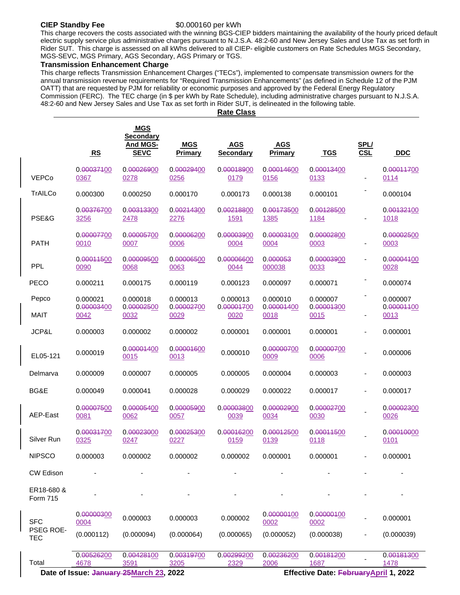#### **CIEP Standby Fee** \$0.000160 per kWh

This charge recovers the costs associated with the winning BGS-CIEP bidders maintaining the availability of the hourly priced default electric supply service plus administrative charges pursuant to N.J.S.A. 48:2-60 and New Jersey Sales and Use Tax as set forth in Rider SUT. This charge is assessed on all kWhs delivered to all CIEP- eligible customers on Rate Schedules MGS Secondary, MGS-SEVC, MGS Primary, AGS Secondary, AGS Primary or TGS.

### **Transmission Enhancement Charge**

This charge reflects Transmission Enhancement Charges ("TECs"), implemented to compensate transmission owners for the annual transmission revenue requirements for "Required Transmission Enhancements" (as defined in Schedule 12 of the PJM OATT) that are requested by PJM for reliability or economic purposes and approved by the Federal Energy Regulatory Commission (FERC). The TEC charge (in \$ per kWh by Rate Schedule), including administrative charges pursuant to N.J.S.A. 48:2-60 and New Jersey Sales and Use Tax as set forth in Rider SUT, is delineated in the following table.

**Rate Class**

|                                | RS                     | <b>MGS</b><br><b>Secondary</b><br>And MGS-<br><b>SEVC</b>     | <b>MGS</b><br>Primary           | <b>AGS</b><br><b>Secondary</b>         | <b>AGS</b><br><b>Primary</b>           | <b>TGS</b>                                                   | SPL/<br><b>CSL</b> | <b>DDC</b>                             |
|--------------------------------|------------------------|---------------------------------------------------------------|---------------------------------|----------------------------------------|----------------------------------------|--------------------------------------------------------------|--------------------|----------------------------------------|
| <b>VEPCo</b>                   | 0.00037100<br>0367     | 0.00026900<br>0278                                            | 0.00029400<br>0256              | 0.00018900<br>0179                     | 0.00014600<br>0156                     | 0.00013400<br>0133                                           |                    | 0.00011700<br>0114                     |
| <b>TrAILCo</b>                 | 0.000300               | 0.000250                                                      | 0.000170                        | 0.000173                               | 0.000138                               | 0.000101                                                     |                    | 0.000104                               |
| PSE&G                          | 0.00376700<br>3256     | 0.00313300<br>2478                                            | 0. <del>002143</del> 00<br>2276 | 0. <del>002188</del> 00<br><u>1591</u> | 0. <del>001735</del> 00<br><u>1385</u> | 0.00128500<br><u>1184</u>                                    |                    | 0. <del>001321</del> 00<br><u>1018</u> |
| <b>PATH</b>                    | 0.00007700<br>0010     | 0.00005700<br>0007                                            | 0.00006200<br>0006              | 0.00003900<br>0004                     | 0.00003100<br>0004                     | 0.00002800<br>0003                                           |                    | 0.00002500<br>0003                     |
| <b>PPL</b>                     | 0.00011500<br>0090     | 0. <del>000095</del> 00<br>0068                               | 0. <del>000065</del> 00<br>0063 | 0. <del>000066</del> 00<br>0044        | 0.000053<br>000038                     | 0. <del>000039</del> 00<br>0033                              | ÷,                 | 0.00004400<br>0028                     |
| <b>PECO</b>                    | 0.000211               | 0.000175                                                      | 0.000119                        | 0.000123                               | 0.000097                               | 0.000071                                                     |                    | 0.000074                               |
| Pepco                          | 0.000021<br>0.00003400 | 0.000018<br>0.00002500                                        | 0.000013<br>0.00002700          | 0.000013<br>0. <del>000017</del> 00    | 0.000010<br>0.00001400                 | 0.000007<br>0.00001300                                       |                    | 0.000007<br>0.00001100                 |
| <b>MAIT</b>                    | 0042                   | 0032                                                          | 0029                            | 0020                                   | 0018                                   | 0015                                                         |                    | 0013                                   |
| JCP&L                          | 0.000003               | 0.000002                                                      | 0.000002                        | 0.000001                               | 0.000001                               | 0.000001                                                     | $\blacksquare$     | 0.000001                               |
| EL05-121                       | 0.000019               | 0. <del>000014</del> 00<br>0015                               | 0. <del>000016</del> 00<br>0013 | 0.000010                               | 0. <del>000007</del> 00<br>0009        | 0. <del>000007</del> 00<br>0006                              |                    | 0.000006                               |
| Delmarva                       | 0.000009               | 0.000007                                                      | 0.000005                        | 0.000005                               | 0.000004                               | 0.000003                                                     |                    | 0.000003                               |
| BG&E                           | 0.000049               | 0.000041                                                      | 0.000028                        | 0.000029                               | 0.000022                               | 0.000017                                                     |                    | 0.000017                               |
| AEP-East                       | 0.00007500<br>0081     | 0.00005400<br>0062                                            | 0. <del>000059</del> 00<br>0057 | 0.00003800<br>0039                     | 0.00002900<br>0034                     | 0.00002700<br>0030                                           |                    | 0.00002300<br>0026                     |
| Silver Run                     | 0.00031700<br>0325     | 0. <del>000230</del> 00<br>0247                               | 0.00025300<br>0227              | 0. <del>000162</del> 00<br>0159        | 0. <del>000125</del> 00<br>0139        | 0. <del>000115</del> 00<br>0118                              |                    | 0.00010000<br>0101                     |
| <b>NIPSCO</b>                  | 0.000003               | 0.000002                                                      | 0.000002                        | 0.000002                               | 0.000001                               | 0.000001                                                     |                    | 0.000001                               |
| <b>CW Edison</b>               |                        |                                                               |                                 |                                        |                                        |                                                              |                    |                                        |
| ER18-680 &<br><b>Form 715</b>  |                        |                                                               |                                 |                                        |                                        |                                                              |                    |                                        |
| <b>SFC</b>                     | 0.00000300<br>0004     | 0.000003                                                      | 0.000003                        | 0.000002                               | 0. <del>000001</del> 00<br>0002        | 0. <del>000001</del> 00<br>0002                              |                    | 0.000001                               |
| <b>PSEG ROE-</b><br><b>TEC</b> | (0.000112)             | (0.000094)                                                    | (0.000064)                      | (0.000065)                             | (0.000052)                             | (0.000038)                                                   |                    | (0.000039)                             |
| Total                          | 0.00526200<br>4678     | 0.00428100<br>3591<br>Date of Issue: January 25March 23, 2022 | 0.00319700<br>3205              | 0.00299200<br>2329                     | 0.00236200<br>2006                     | 0.00181200<br>1687<br>Effective Date: February April 1, 2022 |                    | 0.00181300<br>1478                     |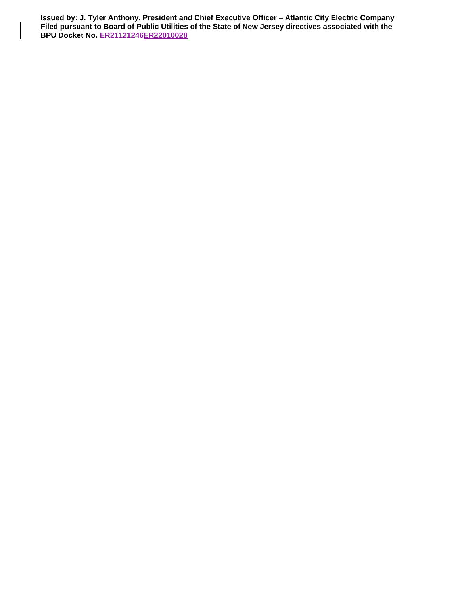**Issued by: J. Tyler Anthony, President and Chief Executive Officer – Atlantic City Electric Company Filed pursuant to Board of Public Utilities of the State of New Jersey directives associated with the BPU Docket No. ER21121246ER22010028**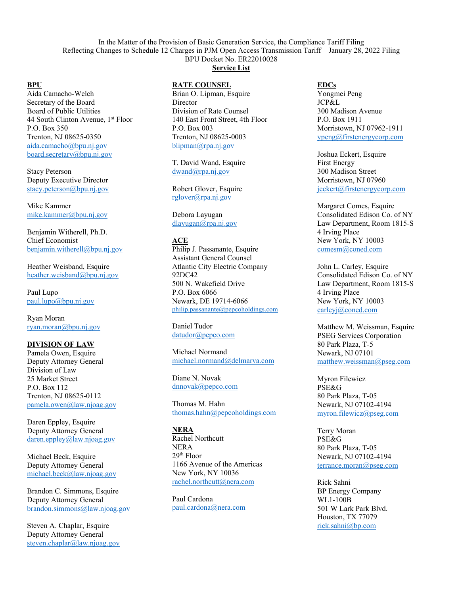In the Matter of the Provision of Basic Generation Service, the Compliance Tariff Filing Reflecting Changes to Schedule 12 Charges in PJM Open Access Transmission Tariff – January 28, 2022 Filing BPU Docket No. ER22010028

**Service List**

**BPU** Aida Camacho-Welch Secretary of the Board Board of Public Utilities 44 South Clinton Avenue, 1<sup>st</sup> Floor P.O. Box 350 Trenton, NJ 08625-0350 aida.camacho@bpu.nj.gov board.secretary@bpu.nj.gov

Stacy Peterson Deputy Executive Director stacy.peterson@bpu.nj.gov

Mike Kammer mike.kammer@bpu.nj.gov

Benjamin Witherell, Ph.D. Chief Economist benjamin.witherell@bpu.nj.gov

Heather Weisband, Esquire heather.weisband@bpu.nj.gov

Paul Lupo paul.lupo@bpu.nj.gov

Ryan Moran ryan.moran@bpu.nj.gov

#### **DIVISION OF LAW**

Pamela Owen, Esquire Deputy Attorney General Division of Law 25 Market Street P.O. Box 112 Trenton, NJ 08625-0112 pamela.owen@law.njoag.gov

Daren Eppley, Esquire Deputy Attorney General daren.eppley@law.njoag.gov

Michael Beck, Esquire Deputy Attorney General michael.beck@law.njoag.gov

Brandon C. Simmons, Esquire Deputy Attorney General brandon.simmons@law.njoag.gov

Steven A. Chaplar, Esquire Deputy Attorney General steven.chaplar@law.njoag.gov

#### **RATE COUNSEL**

Brian O. Lipman, Esquire Director Division of Rate Counsel 140 East Front Street, 4th Floor P.O. Box 003 Trenton, NJ 08625-0003 blipman@rpa.nj.gov

T. David Wand, Esquire dwand@rpa.nj.gov

Robert Glover, Esquire rglover@rpa.nj.gov

Debora Layugan dlayugan@rpa.nj.gov

## **ACE**

Philip J. Passanante, Esquire Assistant General Counsel Atlantic City Electric Company 92DC42 500 N. Wakefield Drive P.O. Box 6066 Newark, DE 19714-6066 philip.passanante@pepcoholdings.com

Daniel Tudor datudor@pepco.com

Michael Normand michael.normand@delmarva.com

Diane N. Novak dnnovak@pepco.com

Thomas M. Hahn thomas.hahn@pepcoholdings.com

#### **NERA**

Rachel Northcutt NERA 29th Floor 1166 Avenue of the Americas New York, NY 10036 rachel.northcutt@nera.com

Paul Cardona paul.cardona@nera.com

### **EDCs**

Yongmei Peng JCP&L 300 Madison Avenue P.O. Box 1911 Morristown, NJ 07962-1911 ypeng@firstenergycorp.com

Joshua Eckert, Esquire First Energy 300 Madison Street Morristown, NJ 07960 jeckert@firstenergycorp.com

Margaret Comes, Esquire Consolidated Edison Co. of NY Law Department, Room 1815-S 4 Irving Place New York, NY 10003 comesm@coned.com

John L. Carley, Esquire Consolidated Edison Co. of NY Law Department, Room 1815-S 4 Irving Place New York, NY 10003 carleyj@coned.com

Matthew M. Weissman, Esquire PSEG Services Corporation 80 Park Plaza, T-5 Newark, NJ 07101 matthew.weissman@pseg.com

Myron Filewicz PSE&G 80 Park Plaza, T-05 Newark, NJ 07102-4194 myron.filewicz@pseg.com

Terry Moran PSE&G 80 Park Plaza, T-05 Newark, NJ 07102-4194 terrance.moran@pseg.com

Rick Sahni BP Energy Company WL1-100B 501 W Lark Park Blvd. Houston, TX 77079 rick.sahni@bp.com